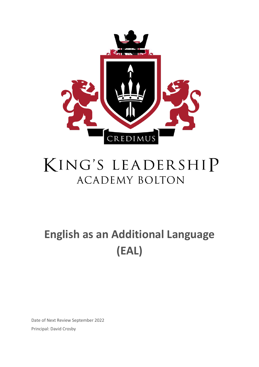

# KING'S LEADERSHIP **ACADEMY BOLTON**

## **English as an Additional Language (EAL)**

Date of Next Review September 2022 Principal: David Crosby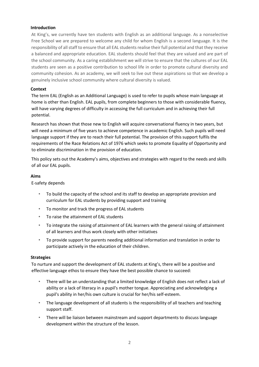#### **Introduction**

At King's, we currently have ten students with English as an additional language. As a nonselective Free School we are prepared to welcome any child for whom English is a second language. It is the responsibility of all staff to ensure that all EAL students realise their full potential and that they receive a balanced and appropriate education. EAL students should feel that they are valued and are part of the school community. As a caring establishment we will strive to ensure that the cultures of our EAL students are seen as a positive contribution to school life in order to promote cultural diversity and community cohesion. As an academy, we will seek to live out these aspirations so that we develop a genuinely inclusive school community where cultural diversity is valued.

#### **Context**

The term EAL (English as an Additional Language) is used to refer to pupils whose main language at home is other than English. EAL pupils, from complete beginners to those with considerable fluency, will have varying degrees of difficulty in accessing the full curriculum and in achieving their full potential.

Research has shown that those new to English will acquire conversational fluency in two years, but will need a minimum of five years to achieve competence in academic English. Such pupils will need language support if they are to reach their full potential. The provision of this support fulfils the requirements of the Race Relations Act of 1976 which seeks to promote Equality of Opportunity and to eliminate discrimination in the provision of education.

This policy sets out the Academy's aims, objectives and strategies with regard to the needs and skills of all our EAL pupils.

#### **Aims**

E-safety depends

- To build the capacity of the school and its staff to develop an appropriate provision and curriculum for EAL students by providing support and training
- To monitor and track the progress of EAL students
- To raise the attainment of EAL students
- To integrate the raising of attainment of EAL learners with the general raising of attainment of all learners and thus work closely with other initiatives
- To provide support for parents needing additional information and translation in order to participate actively in the education of their children.

#### **Strategies**

To nurture and support the development of EAL students at King's, there will be a positive and effective language ethos to ensure they have the best possible chance to succeed:

- There will be an understanding that a limited knowledge of English does not reflect a lack of ability or a lack of literacy in a pupil's mother tongue. Appreciating and acknowledging a pupil's ability in her/his own culture is crucial for her/his self-esteem.
- The language development of all students is the responsibility of all teachers and teaching support staff.
- There will be liaison between mainstream and support departments to discuss language development within the structure of the lesson.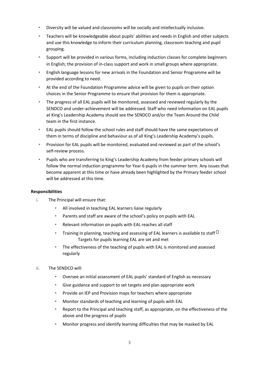- Diversity will be valued and classrooms will be socially and intellectually inclusive.
- Teachers will be knowledgeable about pupils' abilities and needs in English and other subjects and use this knowledge to inform their curriculum planning, classroom teaching and pupil grouping.
- Support will be provided in various forms, including induction classes for complete beginners in English; the provision of in-class support and work in small groups where appropriate.
- English language lessons for new arrivals in the Foundation and Senior Programme will be provided according to need.
- At the end of the Foundation Programme advice will be given to pupils on their option choices in the Senior Programme to ensure that provision for them is appropriate.
- The progress of all EAL pupils will be monitored, assessed and reviewed regularly by the SENDCO and under-achievement will be addressed. Staff who need information on EAL pupils at King's Leadership Academy should see the SENDCO and/or the Team Around the Child team in the first instance.
- EAL pupils should follow the school rules and staff should have the same expectations of them in terms of discipline and behaviour as of all King's Leadership Academy's pupils.
- Provision for EAL pupils will be monitored, evaluated and reviewed as part of the school's self-review process.
- Pupils who are transferring to King's Leadership Academy from feeder primary schools will follow the normal induction programme for Year 6 pupils in the summer term. Any issues that become apparent at this time or have already been highlighted by the Primary feeder school will be addressed at this time.

#### **Responsibilities**

- i. The Principal will ensure that:
	- All involved in teaching EAL learners liaise regularly
	- Parents and staff are aware of the school's policy on pupils with EAL
	- Relevant information on pupils with EAL reaches all staff
	- Training in planning, teaching and assessing of EAL learners is available to staff  $\Box$ Targets for pupils learning EAL are set and met
	- The effectiveness of the teaching of pupils with EAL is monitored and assessed regularly
- ii. The SENDCO will:
	- Oversee an initial assessment of EAL pupils' standard of English as necessary
	- Give guidance and support to set targets and plan appropriate work
	- Provide an IEP and Provision maps for teachers where appropriate
	- Monitor standards of teaching and learning of pupils with EAL
	- Report to the Principal and teaching staff, as appropriate, on the effectiveness of the above and the progress of pupils
	- Monitor progress and identify learning difficulties that may be masked by EAL